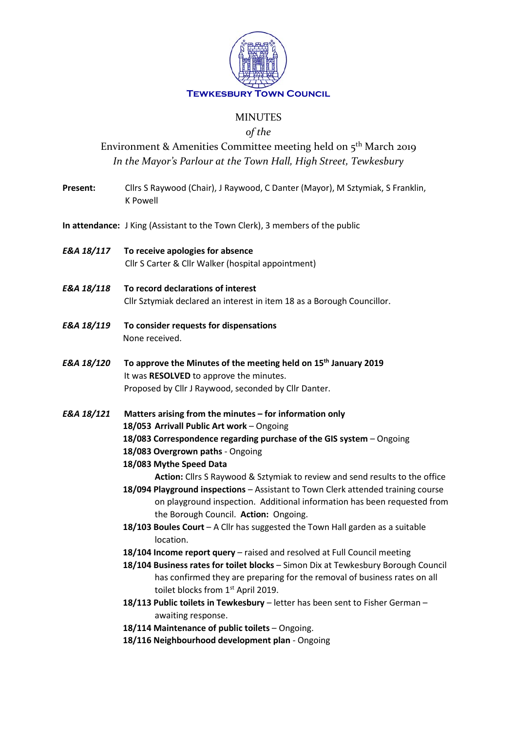

## MINUTES

#### *of the*

# Environment & Amenities Committee meeting held on  $5<sup>th</sup>$  March 2019 *In the Mayor's Parlour at the Town Hall, High Street, Tewkesbury*

**Present:** Cllrs S Raywood (Chair), J Raywood, C Danter (Mayor), M Sztymiak, S Franklin, K Powell

**In attendance:** J King (Assistant to the Town Clerk), 3 members of the public

- *E&A 18/117* **To receive apologies for absence** Cllr S Carter & Cllr Walker (hospital appointment)
- *E&A 18/118* **To record declarations of interest** Cllr Sztymiak declared an interest in item 18 as a Borough Councillor.
- *E&A 18/119* **To consider requests for dispensations** None received.
- *E&A 18/120* **To approve the Minutes of the meeting held on 15th January 2019** It was **RESOLVED** to approve the minutes. Proposed by Cllr J Raywood, seconded by Cllr Danter.
- *E&A 18/121* **Matters arising from the minutes – for information only 18/053 Arrivall Public Art work** – Ongoing **18/083 Correspondence regarding purchase of the GIS system** – Ongoing **18/083 Overgrown paths** - Ongoing
	- **18/083 Mythe Speed Data**

**Action:** Cllrs S Raywood & Sztymiak to review and send results to the office

- **18/094 Playground inspections** Assistant to Town Clerk attended training course on playground inspection. Additional information has been requested from the Borough Council. **Action:** Ongoing.
- **18/103 Boules Court** A Cllr has suggested the Town Hall garden as a suitable location.
- **18/104 Income report query**  raised and resolved at Full Council meeting
- **18/104 Business rates for toilet blocks** Simon Dix at Tewkesbury Borough Council has confirmed they are preparing for the removal of business rates on all toilet blocks from 1<sup>st</sup> April 2019.
- **18/113 Public toilets in Tewkesbury**  letter has been sent to Fisher German awaiting response.
- 18/114 Maintenance of public toilets Ongoing.
- **18/116 Neighbourhood development plan**  Ongoing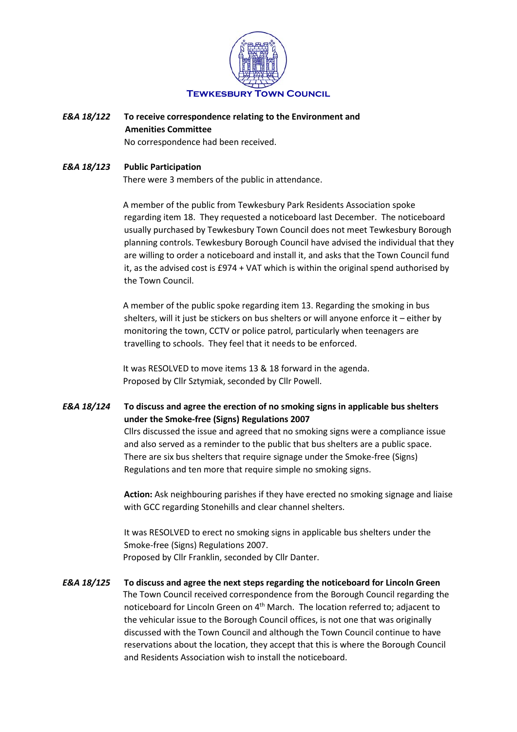

#### *E&A 18/122* **To receive correspondence relating to the Environment and Amenities Committee** No correspondence had been received.

### *E&A 18/123* **Public Participation** There were 3 members of the public in attendance.

A member of the public from Tewkesbury Park Residents Association spoke regarding item 18. They requested a noticeboard last December. The noticeboard usually purchased by Tewkesbury Town Council does not meet Tewkesbury Borough planning controls. Tewkesbury Borough Council have advised the individual that they are willing to order a noticeboard and install it, and asks that the Town Council fund it, as the advised cost is £974 + VAT which is within the original spend authorised by the Town Council.

A member of the public spoke regarding item 13. Regarding the smoking in bus shelters, will it just be stickers on bus shelters or will anyone enforce it – either by monitoring the town, CCTV or police patrol, particularly when teenagers are travelling to schools. They feel that it needs to be enforced.

It was RESOLVED to move items 13 & 18 forward in the agenda. Proposed by Cllr Sztymiak, seconded by Cllr Powell.

### *E&A 18/124* **To discuss and agree the erection of no smoking signs in applicable bus shelters under the Smoke-free (Signs) Regulations 2007**

Cllrs discussed the issue and agreed that no smoking signs were a compliance issue and also served as a reminder to the public that bus shelters are a public space. There are six bus shelters that require signage under the Smoke-free (Signs) Regulations and ten more that require simple no smoking signs.

**Action:** Ask neighbouring parishes if they have erected no smoking signage and liaise with GCC regarding Stonehills and clear channel shelters.

It was RESOLVED to erect no smoking signs in applicable bus shelters under the Smoke-free (Signs) Regulations 2007. Proposed by Cllr Franklin, seconded by Cllr Danter.

*E&A 18/125* **To discuss and agree the next steps regarding the noticeboard for Lincoln Green** The Town Council received correspondence from the Borough Council regarding the noticeboard for Lincoln Green on 4<sup>th</sup> March. The location referred to; adjacent to the vehicular issue to the Borough Council offices, is not one that was originally discussed with the Town Council and although the Town Council continue to have reservations about the location, they accept that this is where the Borough Council and Residents Association wish to install the noticeboard.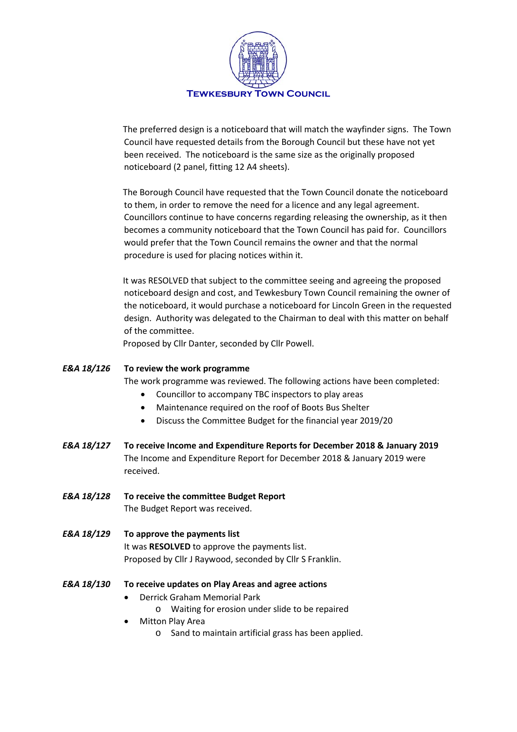

The preferred design is a noticeboard that will match the wayfinder signs. The Town Council have requested details from the Borough Council but these have not yet been received. The noticeboard is the same size as the originally proposed noticeboard (2 panel, fitting 12 A4 sheets).

The Borough Council have requested that the Town Council donate the noticeboard to them, in order to remove the need for a licence and any legal agreement. Councillors continue to have concerns regarding releasing the ownership, as it then becomes a community noticeboard that the Town Council has paid for. Councillors would prefer that the Town Council remains the owner and that the normal procedure is used for placing notices within it.

It was RESOLVED that subject to the committee seeing and agreeing the proposed noticeboard design and cost, and Tewkesbury Town Council remaining the owner of the noticeboard, it would purchase a noticeboard for Lincoln Green in the requested design. Authority was delegated to the Chairman to deal with this matter on behalf of the committee.

Proposed by Cllr Danter, seconded by Cllr Powell.

#### *E&A 18/126* **To review the work programme**

The work programme was reviewed. The following actions have been completed:

- Councillor to accompany TBC inspectors to play areas
- Maintenance required on the roof of Boots Bus Shelter
- Discuss the Committee Budget for the financial year 2019/20
- *E&A 18/127* **To receive Income and Expenditure Reports for December 2018 & January 2019** The Income and Expenditure Report for December 2018 & January 2019 were received.
- *E&A 18/128* **To receive the committee Budget Report** The Budget Report was received.
- *E&A 18/129* **To approve the payments list** It was **RESOLVED** to approve the payments list. Proposed by Cllr J Raywood, seconded by Cllr S Franklin.
- *E&A 18/130* **To receive updates on Play Areas and agree actions**
	- Derrick Graham Memorial Park
		- o Waiting for erosion under slide to be repaired
	- Mitton Play Area
		- o Sand to maintain artificial grass has been applied.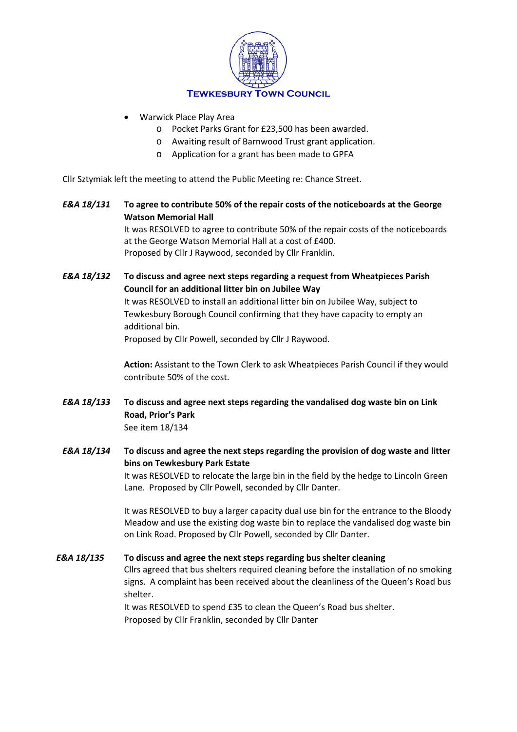

- Warwick Place Play Area
	- o Pocket Parks Grant for £23,500 has been awarded.
	- o Awaiting result of Barnwood Trust grant application.
	- o Application for a grant has been made to GPFA

Cllr Sztymiak left the meeting to attend the Public Meeting re: Chance Street.

*E&A 18/131* **To agree to contribute 50% of the repair costs of the noticeboards at the George Watson Memorial Hall**

> It was RESOLVED to agree to contribute 50% of the repair costs of the noticeboards at the George Watson Memorial Hall at a cost of £400. Proposed by Cllr J Raywood, seconded by Cllr Franklin.

*E&A 18/132* **To discuss and agree next steps regarding a request from Wheatpieces Parish Council for an additional litter bin on Jubilee Way**

> It was RESOLVED to install an additional litter bin on Jubilee Way, subject to Tewkesbury Borough Council confirming that they have capacity to empty an additional bin.

Proposed by Cllr Powell, seconded by Cllr J Raywood.

**Action:** Assistant to the Town Clerk to ask Wheatpieces Parish Council if they would contribute 50% of the cost.

*E&A 18/133* **To discuss and agree next steps regarding the vandalised dog waste bin on Link Road, Prior's Park** See item 18/134

*E&A 18/134* **To discuss and agree the next steps regarding the provision of dog waste and litter bins on Tewkesbury Park Estate**

> It was RESOLVED to relocate the large bin in the field by the hedge to Lincoln Green Lane. Proposed by Cllr Powell, seconded by Cllr Danter.

> It was RESOLVED to buy a larger capacity dual use bin for the entrance to the Bloody Meadow and use the existing dog waste bin to replace the vandalised dog waste bin on Link Road. Proposed by Cllr Powell, seconded by Cllr Danter.

*E&A 18/135* **To discuss and agree the next steps regarding bus shelter cleaning** Cllrs agreed that bus shelters required cleaning before the installation of no smoking signs. A complaint has been received about the cleanliness of the Queen's Road bus shelter. It was RESOLVED to spend £35 to clean the Queen's Road bus shelter.

Proposed by Cllr Franklin, seconded by Cllr Danter